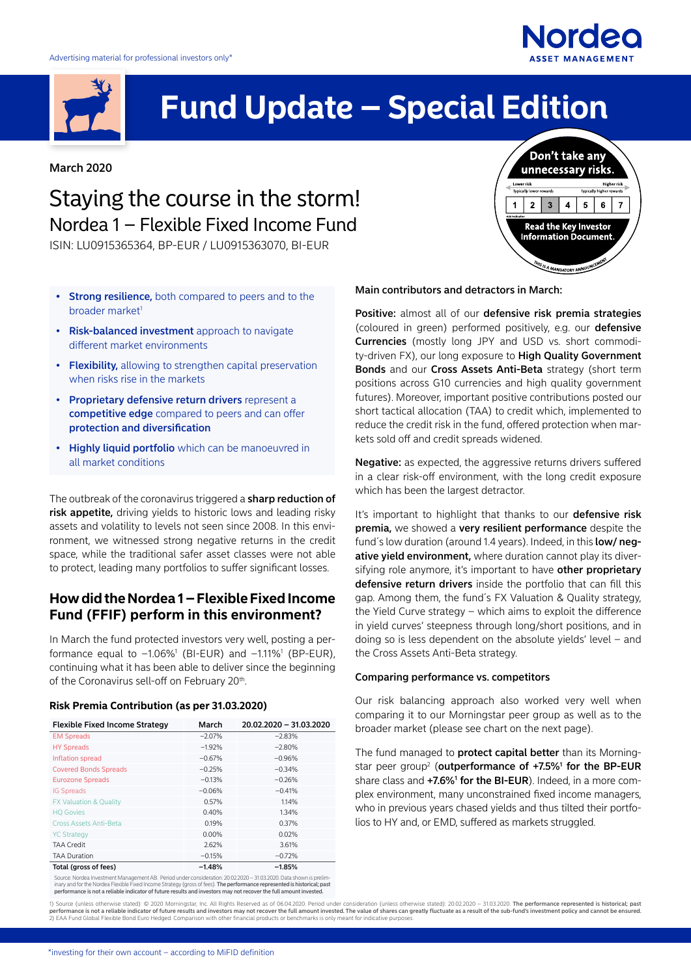

# **Fund Update – Special Edition**

March 2020

# Staying the course in the storm! Nordea 1 – Flexible Fixed Income Fund

ISIN: LU0915365364, BP-EUR / LU0915363070, BI-EUR

- **Strong resilience,** both compared to peers and to the broader market<sup>1</sup>
- Risk-balanced investment approach to navigate different market environments
- Flexibility, allowing to strengthen capital preservation when risks rise in the markets
- Proprietary defensive return drivers represent a competitive edge compared to peers and can offer protection and diversification
- Highly liquid portfolio which can be manoeuvred in all market conditions

The outbreak of the coronavirus triggered a sharp reduction of risk appetite, driving yields to historic lows and leading risky assets and volatility to levels not seen since 2008. In this environment, we witnessed strong negative returns in the credit space, while the traditional safer asset classes were not able to protect, leading many portfolios to suffer significant losses.

## **How did the Nordea 1 – Flexible Fixed Income Fund (FFIF) perform in this environment?**

In March the fund protected investors very well, posting a performance equal to  $-1.06\%$ <sup>1</sup> (BI-EUR) and  $-1.11\%$ <sup>1</sup> (BP-EUR), continuing what it has been able to deliver since the beginning of the Coronavirus sell-off on February 20<sup>th</sup>.

#### **Risk Premia Contribution (as per 31.03.2020)**

| <b>Flexible Fixed Income Strategy</b> | March    | 20.02.2020 - 31.03.2020 |
|---------------------------------------|----------|-------------------------|
| <b>EM Spreads</b>                     | $-2.07%$ | $-2.83%$                |
| <b>HY Spreads</b>                     | $-1.92%$ | $-2.80%$                |
| Inflation spread                      | $-0.67%$ | $-0.96%$                |
| <b>Covered Bonds Spreads</b>          | $-0.25%$ | $-0.34%$                |
| <b>Eurozone Spreads</b>               | $-0.13%$ | $-0.26%$                |
| <b>IG Spreads</b>                     | $-0.06%$ | $-0.41%$                |
| <b>FX Valuation &amp; Quality</b>     | 0.57%    | 1.14%                   |
| <b>HQ Govies</b>                      | 0.40%    | 1.34%                   |
| <b>Cross Assets Anti-Beta</b>         | 0.19%    | 0.37%                   |
| <b>YC Strategy</b>                    | $0.00\%$ | 0.02%                   |
| <b>TAA Credit</b>                     | 2.62%    | 3.61%                   |
| <b>TAA Duration</b>                   | $-0.15%$ | $-0.72%$                |
| Total (gross of fees)                 | $-1.48%$ | $-1.85%$                |

Source: Nordea Investment Management AB. Period under consideration: 20.02.2020 – 31.03.2020. Data shown is prelim-<br>inary and for the Nordea Flexible Fixed Income Strategy (gross of fees). T**he performance represented is h** 

Don't take any unnecessary risks. Higher risk  $2 \mid 3 \mid$  $5<sup>1</sup>$  $\overline{1}$  $\overline{\mathbf{4}}$  $6<sup>-1</sup>$  $\overline{7}$ Read the Key Investor<br>Information Document **HIS IS A MANDATORY ANNOUNCEME** 

**Nordeo** 

Main contributors and detractors in March:

Positive: almost all of our defensive risk premia strategies (coloured in green) performed positively, e.g. our defensive Currencies (mostly long JPY and USD vs. short commodity-driven FX), our long exposure to **High Quality Government** Bonds and our Cross Assets Anti-Beta strategy (short term positions across G10 currencies and high quality government futures). Moreover, important positive contributions posted our short tactical allocation (TAA) to credit which, implemented to reduce the credit risk in the fund, offered protection when markets sold off and credit spreads widened.

Negative: as expected, the aggressive returns drivers suffered in a clear risk-off environment, with the long credit exposure which has been the largest detractor.

It's important to highlight that thanks to our defensive risk premia, we showed a very resilient performance despite the fund's low duration (around 1.4 years). Indeed, in this **low/neg**ative yield environment, where duration cannot play its diversifying role anymore, it's important to have other proprietary defensive return drivers inside the portfolio that can fill this gap. Among them, the fund´s FX Valuation & Quality strategy, the Yield Curve strategy – which aims to exploit the difference in yield curves' steepness through long/short positions, and in doing so is less dependent on the absolute yields' level – and the Cross Assets Anti-Beta strategy.

#### Comparing performance vs. competitors

Our risk balancing approach also worked very well when comparing it to our Morningstar peer group as well as to the broader market (please see chart on the next page).

The fund managed to protect capital better than its Morningstar peer group<sup>2</sup> (outperformance of  $+7.5\%$ <sup>1</sup> for the BP-EUR share class and +7.6%<sup>1</sup> for the BI-EUR). Indeed, in a more complex environment, many unconstrained fixed income managers, who in previous years chased yields and thus tilted their portfolios to HY and, or EMD, suffered as markets struggled.

1) Source (unless otherwise stated): © 2020 Morningstar, Inc. All Rights Reserved as of 06.04.2020. Period under consideration (unless otherwise stated): 20.02.2020 – 31.03.2020. T**he performance represented is historical;**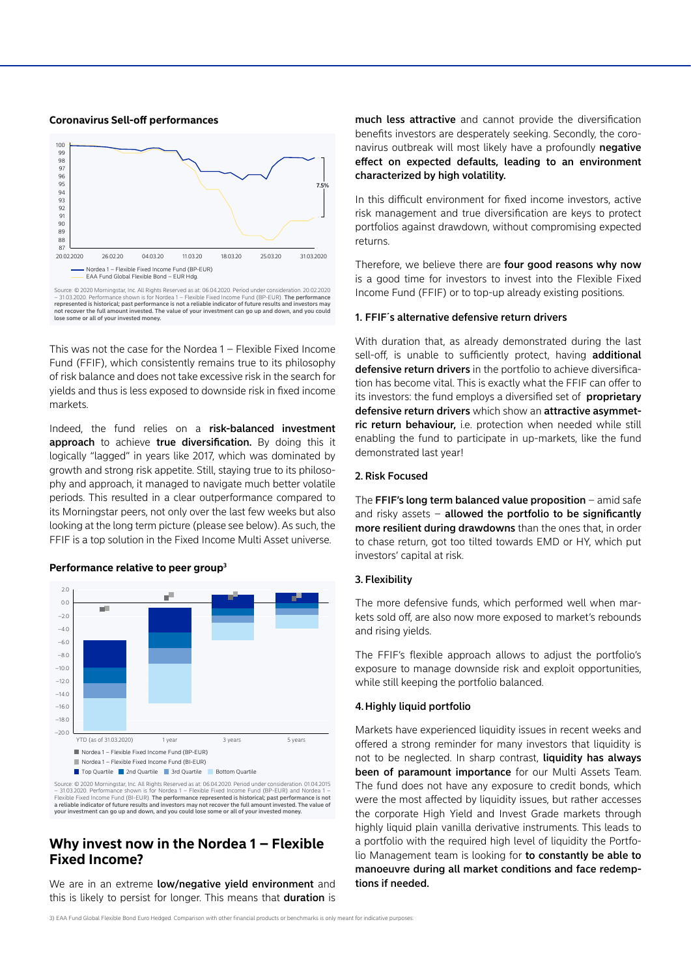#### **Coronavirus Sell-off performances**



Source: © 2020 Morningstar, Inc. All Rights Reserved as at: 06.04.2020. Period under consideration. 20.02.2020<br>– 31.03.2020. Performance shown is for Nordea 1 – Flexible Fixed Income Fund (BP-EUR). **The performance** represented is historical; past performance is not a reliable indicator of future results and investors may not recover the full amount invested. The value of your investment can go up and down, and you could lose some or all of your invested money.

This was not the case for the Nordea 1 – Flexible Fixed Income Fund (FFIF), which consistently remains true to its philosophy of risk balance and does not take excessive risk in the search for yields and thus is less exposed to downside risk in fixed income markets.

Indeed, the fund relies on a risk-balanced investment approach to achieve true diversification. By doing this it logically "lagged" in years like 2017, which was dominated by growth and strong risk appetite. Still, staying true to its philosophy and approach, it managed to navigate much better volatile periods. This resulted in a clear outperformance compared to its Morningstar peers, not only over the last few weeks but also looking at the long term picture (please see below). As such, the FFIF is a top solution in the Fixed Income Multi Asset universe.

#### **Performance relative to peer group3**



31.03.2020. Performance shown is for Nordea 1 - Flexible Fixed Income Fund (BP-EUR) and Nordea Flexible Fixed Income Fund (BI-EUR). The performance represented is historical; past performance is not a reliable indicator of future results and investors may not recover the full amount invested. The value of ur investment can go up and down, and you could lose some or all of your invested mone

### **Why invest now in the Nordea 1 – Flexible Fixed Income?**

We are in an extreme low/negative yield environment and this is likely to persist for longer. This means that duration is much less attractive and cannot provide the diversification benefits investors are desperately seeking. Secondly, the coronavirus outbreak will most likely have a profoundly negative effect on expected defaults, leading to an environment characterized by high volatility.

In this difficult environment for fixed income investors, active risk management and true diversification are keys to protect portfolios against drawdown, without compromising expected returns.

Therefore, we believe there are four good reasons why now is a good time for investors to invest into the Flexible Fixed Income Fund (FFIF) or to top-up already existing positions.

#### 1. FFIF´s alternative defensive return drivers

With duration that, as already demonstrated during the last sell-off, is unable to sufficiently protect, having additional defensive return drivers in the portfolio to achieve diversification has become vital. This is exactly what the FFIF can offer to its investors: the fund employs a diversified set of **proprietary** defensive return drivers which show an attractive asymmetric return behaviour, i.e. protection when needed while still enabling the fund to participate in up-markets, like the fund demonstrated last year!

#### 2. Risk Focused

The FFIF's long term balanced value proposition – amid safe and risky assets  $-$  allowed the portfolio to be significantly more resilient during drawdowns than the ones that, in order to chase return, got too tilted towards EMD or HY, which put investors' capital at risk.

#### 3. Flexibility

The more defensive funds, which performed well when markets sold off, are also now more exposed to market's rebounds and rising yields.

The FFIF's flexible approach allows to adjust the portfolio's exposure to manage downside risk and exploit opportunities, while still keeping the portfolio balanced.

#### 4.Highly liquid portfolio

Markets have experienced liquidity issues in recent weeks and offered a strong reminder for many investors that liquidity is not to be neglected. In sharp contrast, **liquidity has always** been of paramount importance for our Multi Assets Team. The fund does not have any exposure to credit bonds, which were the most affected by liquidity issues, but rather accesses the corporate High Yield and Invest Grade markets through highly liquid plain vanilla derivative instruments. This leads to a portfolio with the required high level of liquidity the Portfolio Management team is looking for to constantly be able to manoeuvre during all market conditions and face redemptions if needed.

3) EAA Fund Global Flexible Bond Euro Hedged. Comparison with other financial products or benchmarks is only meant for indicative purposes.